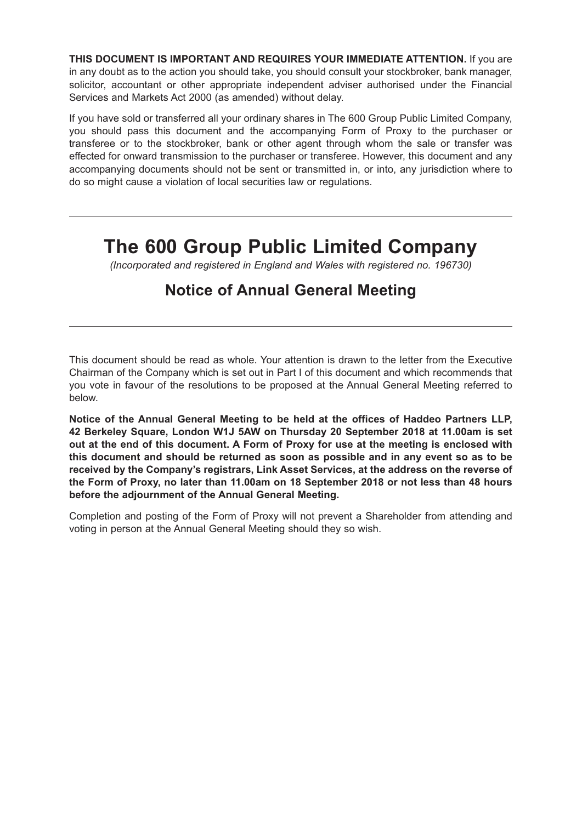**THIS DOCUMENT IS IMPORTANT AND REQUIRES YOUR IMMEDIATE ATTENTION.** If you are in any doubt as to the action you should take, you should consult your stockbroker, bank manager, solicitor, accountant or other appropriate independent adviser authorised under the Financial Services and Markets Act 2000 (as amended) without delay.

If you have sold or transferred all your ordinary shares in The 600 Group Public Limited Company, you should pass this document and the accompanying Form of Proxy to the purchaser or transferee or to the stockbroker, bank or other agent through whom the sale or transfer was effected for onward transmission to the purchaser or transferee. However, this document and any accompanying documents should not be sent or transmitted in, or into, any jurisdiction where to do so might cause a violation of local securities law or regulations.

# **The 600 Group Public Limited Company**

*(Incorporated and registered in England and Wales with registered no. 196730)*

## **Notice of Annual General Meeting**

This document should be read as whole. Your attention is drawn to the letter from the Executive Chairman of the Company which is set out in Part I of this document and which recommends that you vote in favour of the resolutions to be proposed at the Annual General Meeting referred to below.

**Notice of the Annual General Meeting to be held at the offices of Haddeo Partners LLP, 42 Berkeley Square, London W1J 5AW on Thursday 20 September 2018 at 11.00am is set out at the end of this document. A Form of Proxy for use at the meeting is enclosed with this document and should be returned as soon as possible and in any event so as to be received by the Company's registrars, Link Asset Services, at the address on the reverse of the Form of Proxy, no later than 11.00am on 18 September 2018 or not less than 48 hours before the adjournment of the Annual General Meeting.**

Completion and posting of the Form of Proxy will not prevent a Shareholder from attending and voting in person at the Annual General Meeting should they so wish.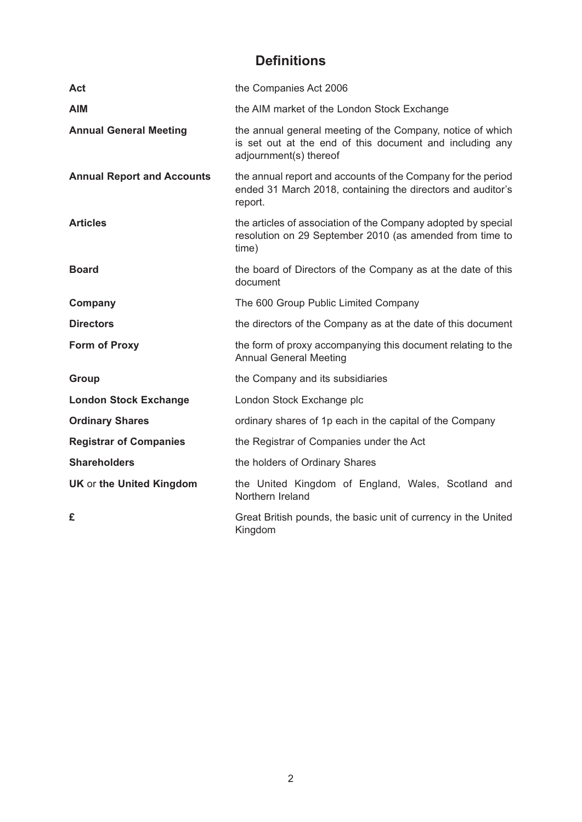## **Definitions**

| Act                               | the Companies Act 2006                                                                                                                           |
|-----------------------------------|--------------------------------------------------------------------------------------------------------------------------------------------------|
| <b>AIM</b>                        | the AIM market of the London Stock Exchange                                                                                                      |
| <b>Annual General Meeting</b>     | the annual general meeting of the Company, notice of which<br>is set out at the end of this document and including any<br>adjournment(s) thereof |
| <b>Annual Report and Accounts</b> | the annual report and accounts of the Company for the period<br>ended 31 March 2018, containing the directors and auditor's<br>report.           |
| <b>Articles</b>                   | the articles of association of the Company adopted by special<br>resolution on 29 September 2010 (as amended from time to<br>time)               |
| <b>Board</b>                      | the board of Directors of the Company as at the date of this<br>document                                                                         |
| Company                           | The 600 Group Public Limited Company                                                                                                             |
| <b>Directors</b>                  | the directors of the Company as at the date of this document                                                                                     |
| <b>Form of Proxy</b>              | the form of proxy accompanying this document relating to the<br><b>Annual General Meeting</b>                                                    |
| <b>Group</b>                      | the Company and its subsidiaries                                                                                                                 |
| <b>London Stock Exchange</b>      | London Stock Exchange plc                                                                                                                        |
| <b>Ordinary Shares</b>            | ordinary shares of 1p each in the capital of the Company                                                                                         |
| <b>Registrar of Companies</b>     | the Registrar of Companies under the Act                                                                                                         |
| <b>Shareholders</b>               | the holders of Ordinary Shares                                                                                                                   |
| <b>UK or the United Kingdom</b>   | the United Kingdom of England, Wales, Scotland and<br>Northern Ireland                                                                           |
| £                                 | Great British pounds, the basic unit of currency in the United<br>Kingdom                                                                        |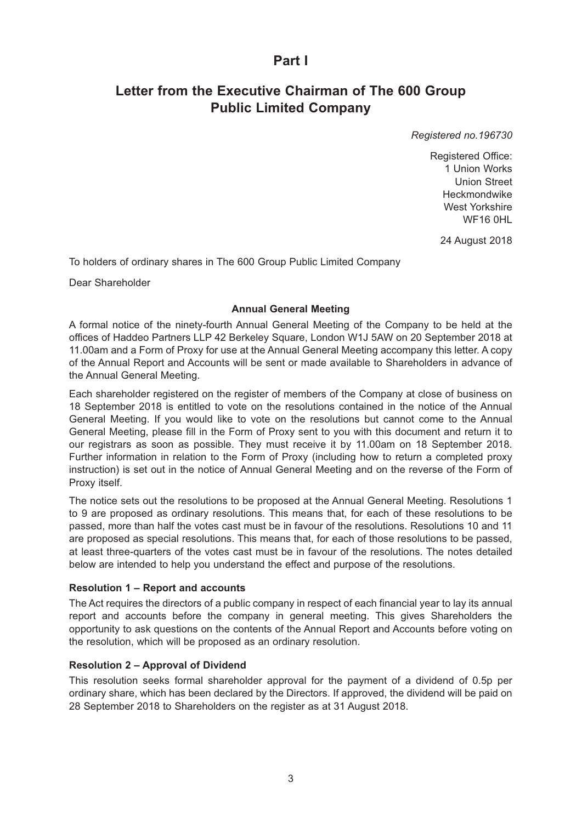## **Part I**

## **Letter from the Executive Chairman of The 600 Group Public Limited Company**

*Registered no.196730*

Registered Office: 1 Union Works Union Street Heckmondwike West Yorkshire WF16 0HL

24 August 2018

To holders of ordinary shares in The 600 Group Public Limited Company

Dear Shareholder

#### **Annual General Meeting**

A formal notice of the ninety-fourth Annual General Meeting of the Company to be held at the offices of Haddeo Partners LLP 42 Berkeley Square, London W1J 5AW on 20 September 2018 at 11.00am and a Form of Proxy for use at the Annual General Meeting accompany this letter. A copy of the Annual Report and Accounts will be sent or made available to Shareholders in advance of the Annual General Meeting.

Each shareholder registered on the register of members of the Company at close of business on 18 September 2018 is entitled to vote on the resolutions contained in the notice of the Annual General Meeting. If you would like to vote on the resolutions but cannot come to the Annual General Meeting, please fill in the Form of Proxy sent to you with this document and return it to our registrars as soon as possible. They must receive it by 11.00am on 18 September 2018. Further information in relation to the Form of Proxy (including how to return a completed proxy instruction) is set out in the notice of Annual General Meeting and on the reverse of the Form of Proxy itself.

The notice sets out the resolutions to be proposed at the Annual General Meeting. Resolutions 1 to 9 are proposed as ordinary resolutions. This means that, for each of these resolutions to be passed, more than half the votes cast must be in favour of the resolutions. Resolutions 10 and 11 are proposed as special resolutions. This means that, for each of those resolutions to be passed, at least three-quarters of the votes cast must be in favour of the resolutions. The notes detailed below are intended to help you understand the effect and purpose of the resolutions.

#### **Resolution 1 – Report and accounts**

The Act requires the directors of a public company in respect of each financial year to lay its annual report and accounts before the company in general meeting. This gives Shareholders the opportunity to ask questions on the contents of the Annual Report and Accounts before voting on the resolution, which will be proposed as an ordinary resolution.

#### **Resolution 2 – Approval of Dividend**

This resolution seeks formal shareholder approval for the payment of a dividend of 0.5p per ordinary share, which has been declared by the Directors. If approved, the dividend will be paid on 28 September 2018 to Shareholders on the register as at 31 August 2018.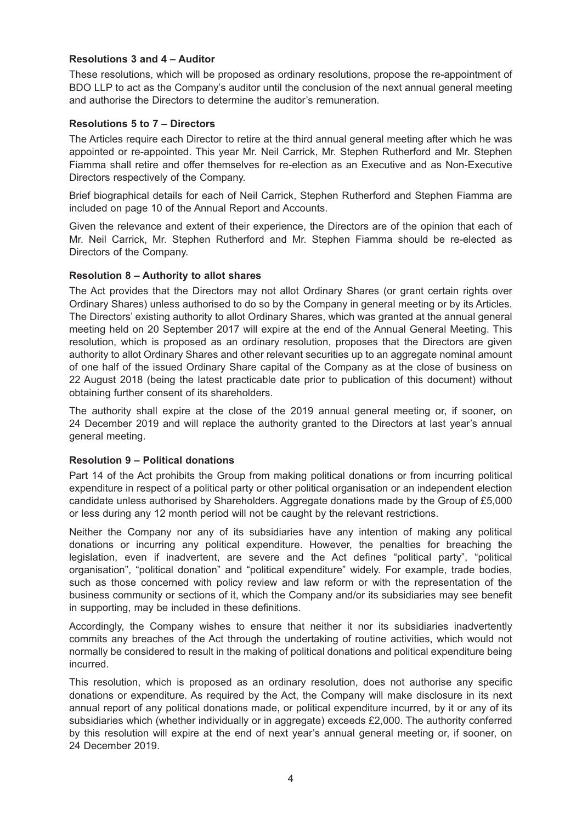#### **Resolutions 3 and 4 – Auditor**

These resolutions, which will be proposed as ordinary resolutions, propose the re-appointment of BDO LLP to act as the Company's auditor until the conclusion of the next annual general meeting and authorise the Directors to determine the auditor's remuneration.

#### **Resolutions 5 to 7 – Directors**

The Articles require each Director to retire at the third annual general meeting after which he was appointed or re-appointed. This year Mr. Neil Carrick, Mr. Stephen Rutherford and Mr. Stephen Fiamma shall retire and offer themselves for re-election as an Executive and as Non-Executive Directors respectively of the Company.

Brief biographical details for each of Neil Carrick, Stephen Rutherford and Stephen Fiamma are included on page 10 of the Annual Report and Accounts.

Given the relevance and extent of their experience, the Directors are of the opinion that each of Mr. Neil Carrick, Mr. Stephen Rutherford and Mr. Stephen Fiamma should be re-elected as Directors of the Company.

#### **Resolution 8 – Authority to allot shares**

The Act provides that the Directors may not allot Ordinary Shares (or grant certain rights over Ordinary Shares) unless authorised to do so by the Company in general meeting or by its Articles. The Directors' existing authority to allot Ordinary Shares, which was granted at the annual general meeting held on 20 September 2017 will expire at the end of the Annual General Meeting. This resolution, which is proposed as an ordinary resolution, proposes that the Directors are given authority to allot Ordinary Shares and other relevant securities up to an aggregate nominal amount of one half of the issued Ordinary Share capital of the Company as at the close of business on 22 August 2018 (being the latest practicable date prior to publication of this document) without obtaining further consent of its shareholders.

The authority shall expire at the close of the 2019 annual general meeting or, if sooner, on 24 December 2019 and will replace the authority granted to the Directors at last year's annual general meeting.

#### **Resolution 9 – Political donations**

Part 14 of the Act prohibits the Group from making political donations or from incurring political expenditure in respect of a political party or other political organisation or an independent election candidate unless authorised by Shareholders. Aggregate donations made by the Group of £5,000 or less during any 12 month period will not be caught by the relevant restrictions.

Neither the Company nor any of its subsidiaries have any intention of making any political donations or incurring any political expenditure. However, the penalties for breaching the legislation, even if inadvertent, are severe and the Act defines "political party", "political organisation", "political donation" and "political expenditure" widely. For example, trade bodies, such as those concerned with policy review and law reform or with the representation of the business community or sections of it, which the Company and/or its subsidiaries may see benefit in supporting, may be included in these definitions.

Accordingly, the Company wishes to ensure that neither it nor its subsidiaries inadvertently commits any breaches of the Act through the undertaking of routine activities, which would not normally be considered to result in the making of political donations and political expenditure being incurred.

This resolution, which is proposed as an ordinary resolution, does not authorise any specific donations or expenditure. As required by the Act, the Company will make disclosure in its next annual report of any political donations made, or political expenditure incurred, by it or any of its subsidiaries which (whether individually or in aggregate) exceeds £2,000. The authority conferred by this resolution will expire at the end of next year's annual general meeting or, if sooner, on 24 December 2019.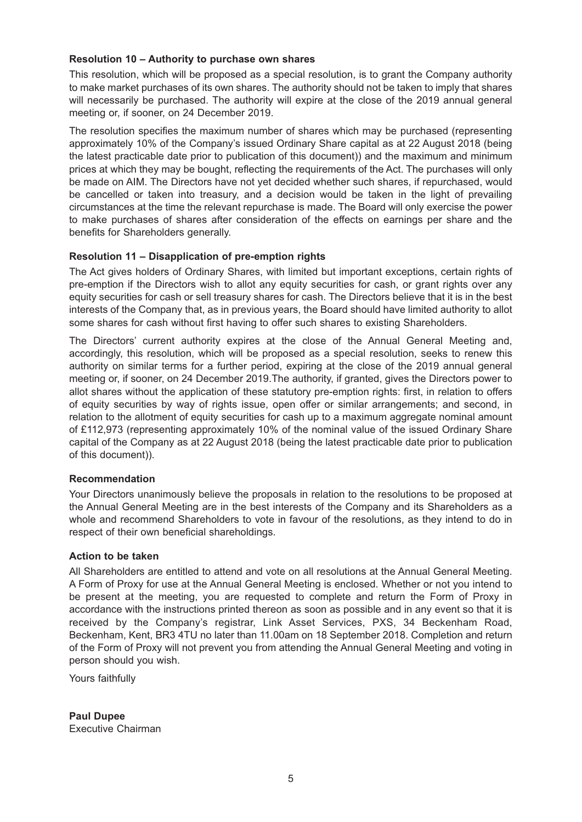#### **Resolution 10 – Authority to purchase own shares**

This resolution, which will be proposed as a special resolution, is to grant the Company authority to make market purchases of its own shares. The authority should not be taken to imply that shares will necessarily be purchased. The authority will expire at the close of the 2019 annual general meeting or, if sooner, on 24 December 2019.

The resolution specifies the maximum number of shares which may be purchased (representing approximately 10% of the Company's issued Ordinary Share capital as at 22 August 2018 (being the latest practicable date prior to publication of this document)) and the maximum and minimum prices at which they may be bought, reflecting the requirements of the Act. The purchases will only be made on AIM. The Directors have not yet decided whether such shares, if repurchased, would be cancelled or taken into treasury, and a decision would be taken in the light of prevailing circumstances at the time the relevant repurchase is made. The Board will only exercise the power to make purchases of shares after consideration of the effects on earnings per share and the benefits for Shareholders generally.

#### **Resolution 11 – Disapplication of pre-emption rights**

The Act gives holders of Ordinary Shares, with limited but important exceptions, certain rights of pre-emption if the Directors wish to allot any equity securities for cash, or grant rights over any equity securities for cash or sell treasury shares for cash. The Directors believe that it is in the best interests of the Company that, as in previous years, the Board should have limited authority to allot some shares for cash without first having to offer such shares to existing Shareholders.

The Directors' current authority expires at the close of the Annual General Meeting and, accordingly, this resolution, which will be proposed as a special resolution, seeks to renew this authority on similar terms for a further period, expiring at the close of the 2019 annual general meeting or, if sooner, on 24 December 2019.The authority, if granted, gives the Directors power to allot shares without the application of these statutory pre-emption rights: first, in relation to offers of equity securities by way of rights issue, open offer or similar arrangements; and second, in relation to the allotment of equity securities for cash up to a maximum aggregate nominal amount of £112,973 (representing approximately 10% of the nominal value of the issued Ordinary Share capital of the Company as at 22 August 2018 (being the latest practicable date prior to publication of this document)).

#### **Recommendation**

Your Directors unanimously believe the proposals in relation to the resolutions to be proposed at the Annual General Meeting are in the best interests of the Company and its Shareholders as a whole and recommend Shareholders to vote in favour of the resolutions, as they intend to do in respect of their own beneficial shareholdings.

#### **Action to be taken**

All Shareholders are entitled to attend and vote on all resolutions at the Annual General Meeting. A Form of Proxy for use at the Annual General Meeting is enclosed. Whether or not you intend to be present at the meeting, you are requested to complete and return the Form of Proxy in accordance with the instructions printed thereon as soon as possible and in any event so that it is received by the Company's registrar, Link Asset Services, PXS, 34 Beckenham Road, Beckenham, Kent, BR3 4TU no later than 11.00am on 18 September 2018. Completion and return of the Form of Proxy will not prevent you from attending the Annual General Meeting and voting in person should you wish.

Yours faithfully

**Paul Dupee** Executive Chairman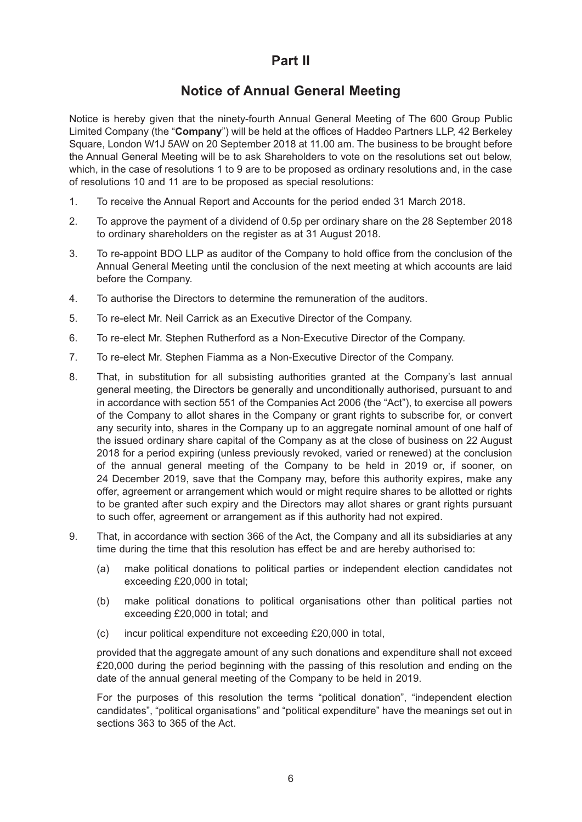## **Part II**

### **Notice of Annual General Meeting**

Notice is hereby given that the ninety-fourth Annual General Meeting of The 600 Group Public Limited Company (the "**Company**") will be held at the offices of Haddeo Partners LLP, 42 Berkeley Square, London W1J 5AW on 20 September 2018 at 11.00 am. The business to be brought before the Annual General Meeting will be to ask Shareholders to vote on the resolutions set out below, which, in the case of resolutions 1 to 9 are to be proposed as ordinary resolutions and, in the case of resolutions 10 and 11 are to be proposed as special resolutions:

- 1. To receive the Annual Report and Accounts for the period ended 31 March 2018.
- 2. To approve the payment of a dividend of 0.5p per ordinary share on the 28 September 2018 to ordinary shareholders on the register as at 31 August 2018.
- 3. To re-appoint BDO LLP as auditor of the Company to hold office from the conclusion of the Annual General Meeting until the conclusion of the next meeting at which accounts are laid before the Company.
- 4. To authorise the Directors to determine the remuneration of the auditors.
- 5. To re-elect Mr. Neil Carrick as an Executive Director of the Company.
- 6. To re-elect Mr. Stephen Rutherford as a Non-Executive Director of the Company.
- 7. To re-elect Mr. Stephen Fiamma as a Non-Executive Director of the Company.
- 8. That, in substitution for all subsisting authorities granted at the Company's last annual general meeting, the Directors be generally and unconditionally authorised, pursuant to and in accordance with section 551 of the Companies Act 2006 (the "Act"), to exercise all powers of the Company to allot shares in the Company or grant rights to subscribe for, or convert any security into, shares in the Company up to an aggregate nominal amount of one half of the issued ordinary share capital of the Company as at the close of business on 22 August 2018 for a period expiring (unless previously revoked, varied or renewed) at the conclusion of the annual general meeting of the Company to be held in 2019 or, if sooner, on 24 December 2019, save that the Company may, before this authority expires, make any offer, agreement or arrangement which would or might require shares to be allotted or rights to be granted after such expiry and the Directors may allot shares or grant rights pursuant to such offer, agreement or arrangement as if this authority had not expired.
- 9. That, in accordance with section 366 of the Act, the Company and all its subsidiaries at any time during the time that this resolution has effect be and are hereby authorised to:
	- (a) make political donations to political parties or independent election candidates not exceeding £20,000 in total;
	- (b) make political donations to political organisations other than political parties not exceeding £20,000 in total; and
	- (c) incur political expenditure not exceeding £20,000 in total,

provided that the aggregate amount of any such donations and expenditure shall not exceed £20,000 during the period beginning with the passing of this resolution and ending on the date of the annual general meeting of the Company to be held in 2019.

For the purposes of this resolution the terms "political donation", "independent election candidates", "political organisations" and "political expenditure" have the meanings set out in sections 363 to 365 of the Act.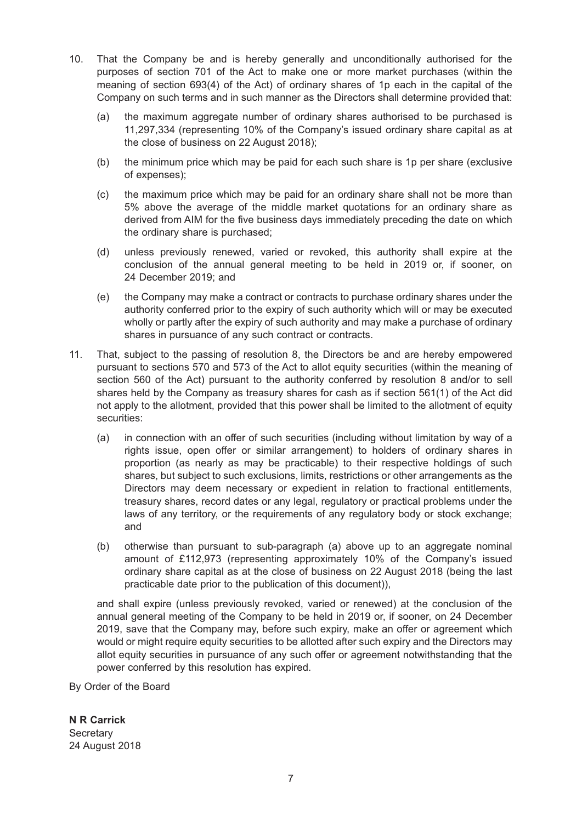- 10. That the Company be and is hereby generally and unconditionally authorised for the purposes of section 701 of the Act to make one or more market purchases (within the meaning of section 693(4) of the Act) of ordinary shares of 1p each in the capital of the Company on such terms and in such manner as the Directors shall determine provided that:
	- (a) the maximum aggregate number of ordinary shares authorised to be purchased is 11,297,334 (representing 10% of the Company's issued ordinary share capital as at the close of business on 22 August 2018);
	- (b) the minimum price which may be paid for each such share is 1p per share (exclusive of expenses);
	- (c) the maximum price which may be paid for an ordinary share shall not be more than 5% above the average of the middle market quotations for an ordinary share as derived from AIM for the five business days immediately preceding the date on which the ordinary share is purchased;
	- (d) unless previously renewed, varied or revoked, this authority shall expire at the conclusion of the annual general meeting to be held in 2019 or, if sooner, on 24 December 2019; and
	- (e) the Company may make a contract or contracts to purchase ordinary shares under the authority conferred prior to the expiry of such authority which will or may be executed wholly or partly after the expiry of such authority and may make a purchase of ordinary shares in pursuance of any such contract or contracts.
- 11. That, subject to the passing of resolution 8, the Directors be and are hereby empowered pursuant to sections 570 and 573 of the Act to allot equity securities (within the meaning of section 560 of the Act) pursuant to the authority conferred by resolution 8 and/or to sell shares held by the Company as treasury shares for cash as if section 561(1) of the Act did not apply to the allotment, provided that this power shall be limited to the allotment of equity securities:
	- (a) in connection with an offer of such securities (including without limitation by way of a rights issue, open offer or similar arrangement) to holders of ordinary shares in proportion (as nearly as may be practicable) to their respective holdings of such shares, but subject to such exclusions, limits, restrictions or other arrangements as the Directors may deem necessary or expedient in relation to fractional entitlements, treasury shares, record dates or any legal, regulatory or practical problems under the laws of any territory, or the requirements of any regulatory body or stock exchange; and
	- (b) otherwise than pursuant to sub-paragraph (a) above up to an aggregate nominal amount of £112,973 (representing approximately 10% of the Company's issued ordinary share capital as at the close of business on 22 August 2018 (being the last practicable date prior to the publication of this document)),

and shall expire (unless previously revoked, varied or renewed) at the conclusion of the annual general meeting of the Company to be held in 2019 or, if sooner, on 24 December 2019, save that the Company may, before such expiry, make an offer or agreement which would or might require equity securities to be allotted after such expiry and the Directors may allot equity securities in pursuance of any such offer or agreement notwithstanding that the power conferred by this resolution has expired.

By Order of the Board

**N R Carrick Secretary** 24 August 2018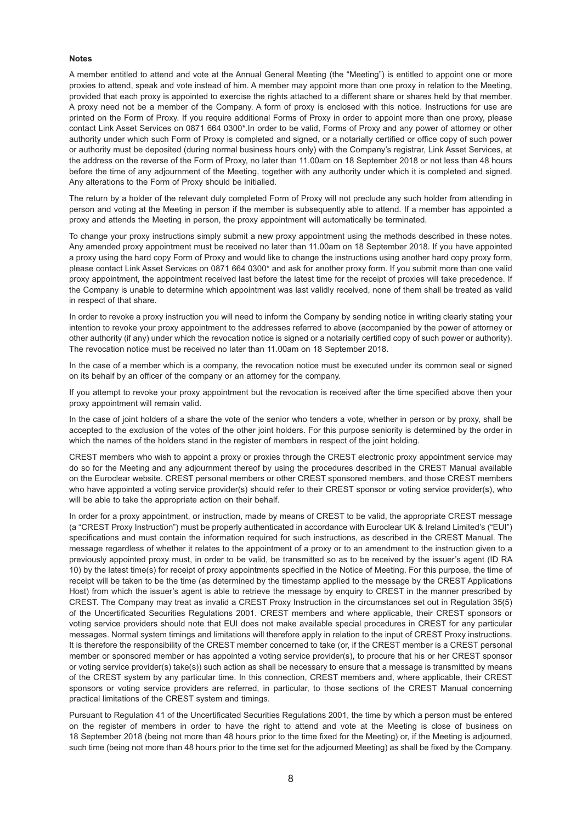#### **Notes**

A member entitled to attend and vote at the Annual General Meeting (the "Meeting") is entitled to appoint one or more proxies to attend, speak and vote instead of him. A member may appoint more than one proxy in relation to the Meeting, provided that each proxy is appointed to exercise the rights attached to a different share or shares held by that member. A proxy need not be a member of the Company. A form of proxy is enclosed with this notice. Instructions for use are printed on the Form of Proxy. If you require additional Forms of Proxy in order to appoint more than one proxy, please contact Link Asset Services on 0871 664 0300\*.In order to be valid, Forms of Proxy and any power of attorney or other authority under which such Form of Proxy is completed and signed, or a notarially certified or office copy of such power or authority must be deposited (during normal business hours only) with the Company's registrar, Link Asset Services, at the address on the reverse of the Form of Proxy, no later than 11.00am on 18 September 2018 or not less than 48 hours before the time of any adjournment of the Meeting, together with any authority under which it is completed and signed. Any alterations to the Form of Proxy should be initialled.

The return by a holder of the relevant duly completed Form of Proxy will not preclude any such holder from attending in person and voting at the Meeting in person if the member is subsequently able to attend. If a member has appointed a proxy and attends the Meeting in person, the proxy appointment will automatically be terminated.

To change your proxy instructions simply submit a new proxy appointment using the methods described in these notes. Any amended proxy appointment must be received no later than 11.00am on 18 September 2018. If you have appointed a proxy using the hard copy Form of Proxy and would like to change the instructions using another hard copy proxy form, please contact Link Asset Services on 0871 664 0300\* and ask for another proxy form. If you submit more than one valid proxy appointment, the appointment received last before the latest time for the receipt of proxies will take precedence. If the Company is unable to determine which appointment was last validly received, none of them shall be treated as valid in respect of that share.

In order to revoke a proxy instruction you will need to inform the Company by sending notice in writing clearly stating your intention to revoke your proxy appointment to the addresses referred to above (accompanied by the power of attorney or other authority (if any) under which the revocation notice is signed or a notarially certified copy of such power or authority). The revocation notice must be received no later than 11.00am on 18 September 2018.

In the case of a member which is a company, the revocation notice must be executed under its common seal or signed on its behalf by an officer of the company or an attorney for the company.

If you attempt to revoke your proxy appointment but the revocation is received after the time specified above then your proxy appointment will remain valid.

In the case of joint holders of a share the vote of the senior who tenders a vote, whether in person or by proxy, shall be accepted to the exclusion of the votes of the other joint holders. For this purpose seniority is determined by the order in which the names of the holders stand in the register of members in respect of the joint holding.

CREST members who wish to appoint a proxy or proxies through the CREST electronic proxy appointment service may do so for the Meeting and any adjournment thereof by using the procedures described in the CREST Manual available on the Euroclear website. CREST personal members or other CREST sponsored members, and those CREST members who have appointed a voting service provider(s) should refer to their CREST sponsor or voting service provider(s), who will be able to take the appropriate action on their behalf.

In order for a proxy appointment, or instruction, made by means of CREST to be valid, the appropriate CREST message (a "CREST Proxy Instruction") must be properly authenticated in accordance with Euroclear UK & Ireland Limited's ("EUI") specifications and must contain the information required for such instructions, as described in the CREST Manual. The message regardless of whether it relates to the appointment of a proxy or to an amendment to the instruction given to a previously appointed proxy must, in order to be valid, be transmitted so as to be received by the issuer's agent (ID RA 10) by the latest time(s) for receipt of proxy appointments specified in the Notice of Meeting. For this purpose, the time of receipt will be taken to be the time (as determined by the timestamp applied to the message by the CREST Applications Host) from which the issuer's agent is able to retrieve the message by enquiry to CREST in the manner prescribed by CREST. The Company may treat as invalid a CREST Proxy Instruction in the circumstances set out in Regulation 35(5) of the Uncertificated Securities Regulations 2001. CREST members and where applicable, their CREST sponsors or voting service providers should note that EUI does not make available special procedures in CREST for any particular messages. Normal system timings and limitations will therefore apply in relation to the input of CREST Proxy instructions. It is therefore the responsibility of the CREST member concerned to take (or, if the CREST member is a CREST personal member or sponsored member or has appointed a voting service provider(s), to procure that his or her CREST sponsor or voting service provider(s) take(s)) such action as shall be necessary to ensure that a message is transmitted by means of the CREST system by any particular time. In this connection, CREST members and, where applicable, their CREST sponsors or voting service providers are referred, in particular, to those sections of the CREST Manual concerning practical limitations of the CREST system and timings.

Pursuant to Regulation 41 of the Uncertificated Securities Regulations 2001, the time by which a person must be entered on the register of members in order to have the right to attend and vote at the Meeting is close of business on 18 September 2018 (being not more than 48 hours prior to the time fixed for the Meeting) or, if the Meeting is adjourned, such time (being not more than 48 hours prior to the time set for the adjourned Meeting) as shall be fixed by the Company.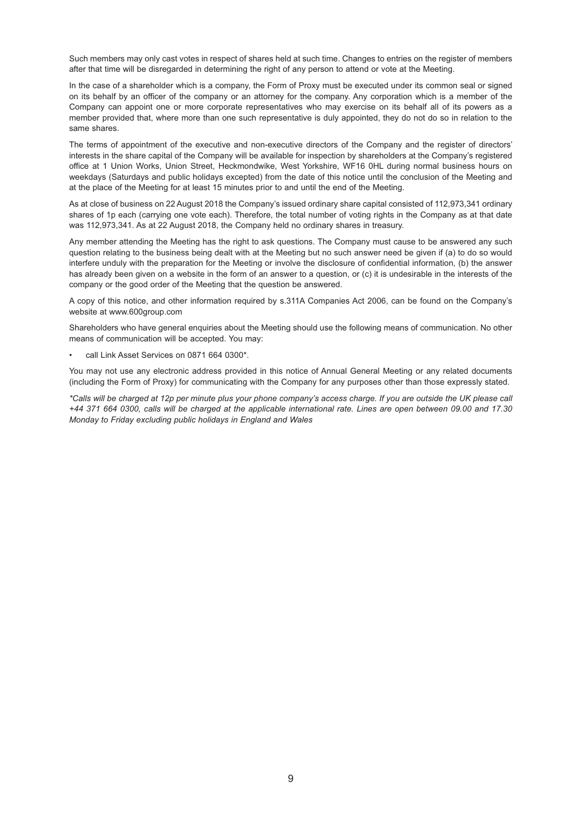Such members may only cast votes in respect of shares held at such time. Changes to entries on the register of members after that time will be disregarded in determining the right of any person to attend or vote at the Meeting.

In the case of a shareholder which is a company, the Form of Proxy must be executed under its common seal or signed on its behalf by an officer of the company or an attorney for the company. Any corporation which is a member of the Company can appoint one or more corporate representatives who may exercise on its behalf all of its powers as a member provided that, where more than one such representative is duly appointed, they do not do so in relation to the same shares.

The terms of appointment of the executive and non-executive directors of the Company and the register of directors' interests in the share capital of the Company will be available for inspection by shareholders at the Company's registered office at 1 Union Works, Union Street, Heckmondwike, West Yorkshire, WF16 0HL during normal business hours on weekdays (Saturdays and public holidays excepted) from the date of this notice until the conclusion of the Meeting and at the place of the Meeting for at least 15 minutes prior to and until the end of the Meeting.

As at close of business on 22 August 2018 the Company's issued ordinary share capital consisted of 112,973,341 ordinary shares of 1p each (carrying one vote each). Therefore, the total number of voting rights in the Company as at that date was 112,973,341. As at 22 August 2018, the Company held no ordinary shares in treasury.

Any member attending the Meeting has the right to ask questions. The Company must cause to be answered any such question relating to the business being dealt with at the Meeting but no such answer need be given if (a) to do so would interfere unduly with the preparation for the Meeting or involve the disclosure of confidential information, (b) the answer has already been given on a website in the form of an answer to a question, or (c) it is undesirable in the interests of the company or the good order of the Meeting that the question be answered.

A copy of this notice, and other information required by s.311A Companies Act 2006, can be found on the Company's website at www.600group.com

Shareholders who have general enquiries about the Meeting should use the following means of communication. No other means of communication will be accepted. You may:

• call Link Asset Services on 0871 664 0300\*.

You may not use any electronic address provided in this notice of Annual General Meeting or any related documents (including the Form of Proxy) for communicating with the Company for any purposes other than those expressly stated.

*\*Calls will be charged at 12p per minute plus your phone company's access charge. If you are outside the UK please call +44 371 664 0300, calls will be charged at the applicable international rate. Lines are open between 09.00 and 17.30 Monday to Friday excluding public holidays in England and Wales*